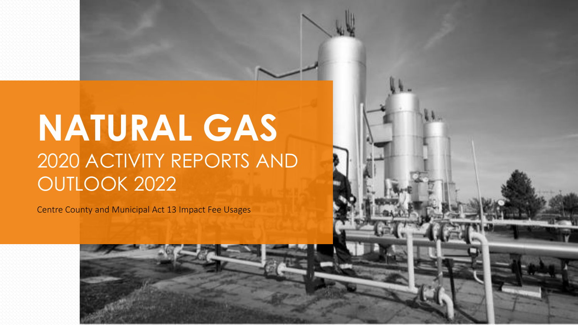# **NATURAL GAS**  2020 ACTIVITY REPORTS AND OUTLOOK 2022

Centre County and Municipal Act 13 Impact Fee Usages

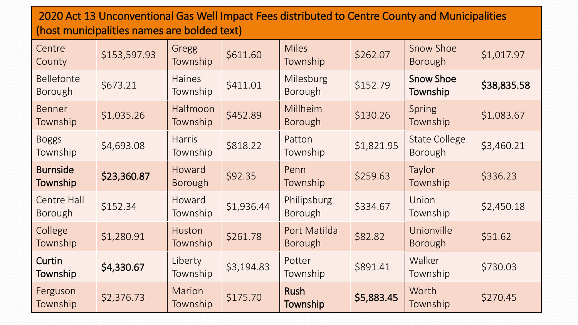### 2020 Act 13 Unconventional Gas Well Impact Fees distributed to Centre County and Municipalities (host municipalities names are bolded text)

| Centre<br>County                     | \$153,597.93 | Gregg<br>Township         | \$611.60   | <b>Miles</b><br>Township       | \$262.07   | Snow Shoe<br><b>Borough</b>            | \$1,017.97  |
|--------------------------------------|--------------|---------------------------|------------|--------------------------------|------------|----------------------------------------|-------------|
| <b>Bellefonte</b><br><b>Borough</b>  | \$673.21     | <b>Haines</b><br>Township | \$411.01   | Milesburg<br>Borough           | \$152.79   | <b>Snow Shoe</b><br>Township           | \$38,835.58 |
| <b>Benner</b><br>Township            | \$1,035.26   | Halfmoon<br>Township      | \$452.89   | Millheim<br><b>Borough</b>     | \$130.26   | Spring<br>Township                     | \$1,083.67  |
| <b>Boggs</b><br>Township             | \$4,693.08   | <b>Harris</b><br>Township | \$818.22   | Patton<br>Township             | \$1,821.95 | <b>State College</b><br><b>Borough</b> | \$3,460.21  |
| <b>Burnside</b><br>Township          | \$23,360.87  | Howard<br><b>Borough</b>  | \$92.35    | Penn<br>Township               | \$259.63   | Taylor<br>Township                     | \$336.23    |
| <b>Centre Hall</b><br><b>Borough</b> | \$152.34     | Howard<br>Township        | \$1,936.44 | Philipsburg<br>Borough         | \$334.67   | Union<br>Township                      | \$2,450.18  |
| College<br>Township                  | \$1,280.91   | <b>Huston</b><br>Township | \$261.78   | Port Matilda<br><b>Borough</b> | \$82.82    | Unionville<br><b>Borough</b>           | \$51.62     |
| Curtin<br>Township                   | \$4,330.67   | Liberty<br>Township       | \$3,194.83 | Potter<br>Township             | \$891.41   | Walker<br>Township                     | \$730.03    |
| Ferguson<br>Township                 | \$2,376.73   | <b>Marion</b><br>Township | \$175.70   | Rush<br>Township               | \$5,883.45 | Worth<br>Township                      | \$270.45    |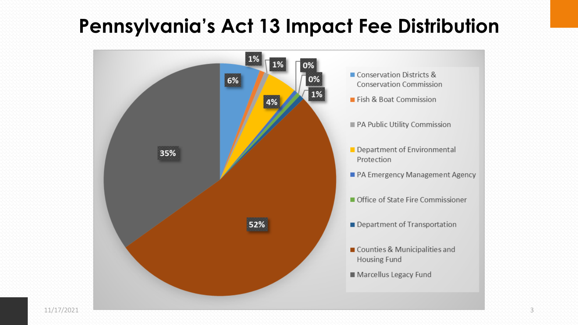## **Pennsylvania's Act 13 Impact Fee Distribution**

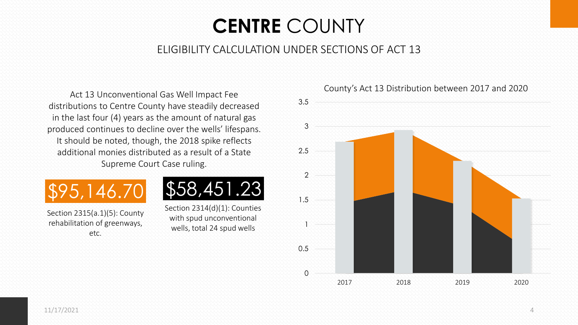## **CENTRE** COUNTY

### ELIGIBILITY CALCULATION UNDER SECTIONS OF ACT 13

distributions to Centre County have steadily decreased in the last four (4) years as the amount of natural gas produced continues to decline over the wells' lifespans. It should be noted, though, the 2018 spike reflects additional monies distributed as a result of a State Supreme Court Case ruling.



Section 2315(a.1)(5): County rehabilitation of greenways, etc.



Section 2314(d)(1): Counties with spud unconventional wells, total 24 spud wells



County's Act 13 Distribution between 2017 and 2020 Act 13 Unconventional Gas Well Impact Fee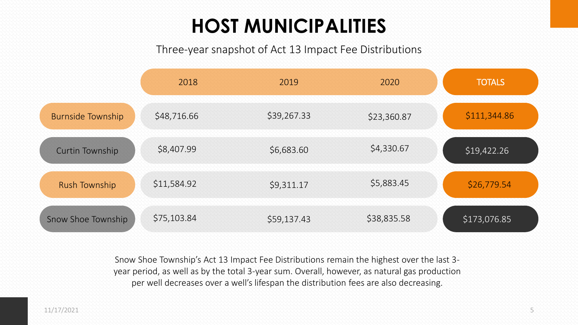## **HOST MUNICIPALITIES**

Three-year snapshot of Act 13 Impact Fee Distributions

|                          | 2018        | 2019        | 2020        | <b>TOTALS</b> |
|--------------------------|-------------|-------------|-------------|---------------|
| <b>Burnside Township</b> | \$48,716.66 | \$39,267.33 | \$23,360.87 | \$111,344.86  |
| <b>Curtin Township</b>   | \$8,407.99  | \$6,683.60  | \$4,330.67  | \$19,422.26   |
| <b>Rush Township</b>     | \$11,584.92 | \$9,311.17  | \$5,883.45  | \$26,779.54   |
| Snow Shoe Township       | \$75,103.84 | \$59,137.43 | \$38,835.58 | \$173,076.85  |

Snow Shoe Township's Act 13 Impact Fee Distributions remain the highest over the last 3 year period, as well as by the total 3-year sum. Overall, however, as natural gas production per well decreases over a well's lifespan the distribution fees are also decreasing.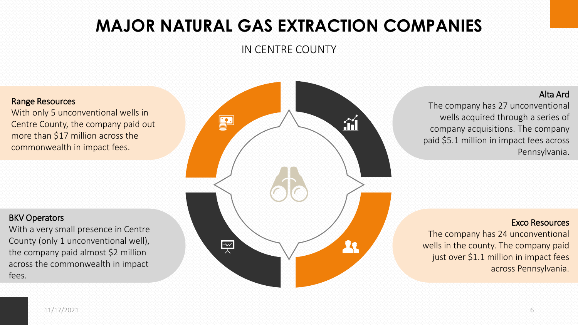### **MAJOR NATURAL GAS EXTRACTION COMPANIES**

IN CENTRE COUNTY

#### Range Resources

With only 5 unconventional wells in Centre County, the company paid out more than \$17 million across the commonwealth in impact fees.

#### BKV Operators

With a very small presence in Centre County (only 1 unconventional well), the company paid almost \$2 million across the commonwealth in impact fees.



Alta Ard

The company has 27 unconventional wells acquired through a series of company acquisitions. The company paid \$5.1 million in impact fees across Pennsylvania.

#### Exco Resources

The company has 24 unconventional wells in the county. The company paid just over \$1.1 million in impact fees across Pennsylvania.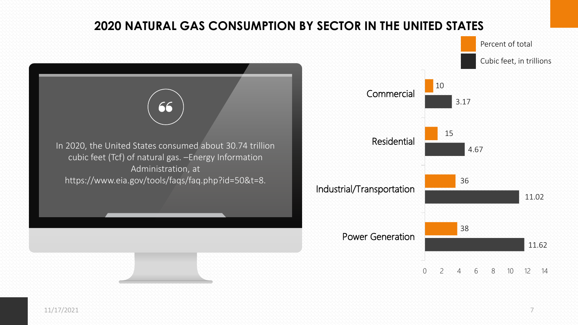### **2020 NATURAL GAS CONSUMPTION BY SECTOR IN THE UNITED STATES**





11/17/2021 7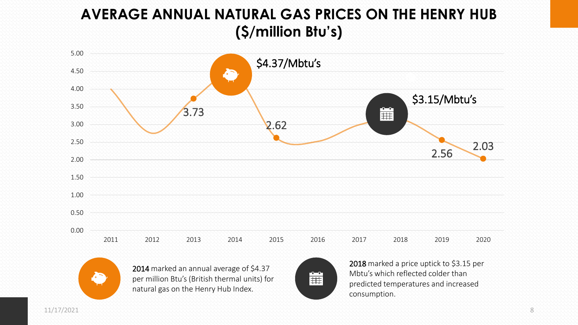### **AVERAGE ANNUAL NATURAL GAS PRICES ON THE HENRY HUB (\$/million Btu's)**





2014 marked an annual average of \$4.37 per million Btu's (British thermal units) for natural gas on the Henry Hub Index.



2018 marked a price uptick to \$3.15 per Mbtu's which reflected colder than predicted temperatures and increased consumption.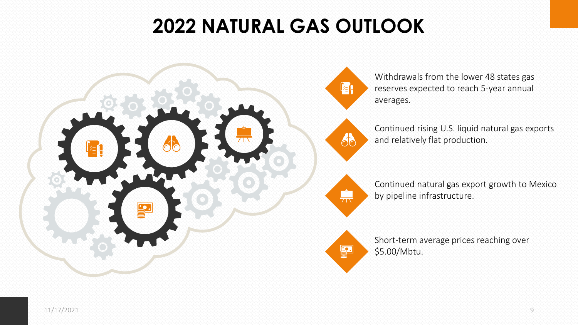## **2022 NATURAL GAS OUTLOOK**



Withdrawals from the lower 48 states gas reserves expected to reach 5-year annual averages.

Continued rising U.S. liquid natural gas exports and relatively flat production.



88

far

Continued natural gas export growth to Mexico by pipeline infrastructure.



Short-term average prices reaching over \$5.00/Mbtu.